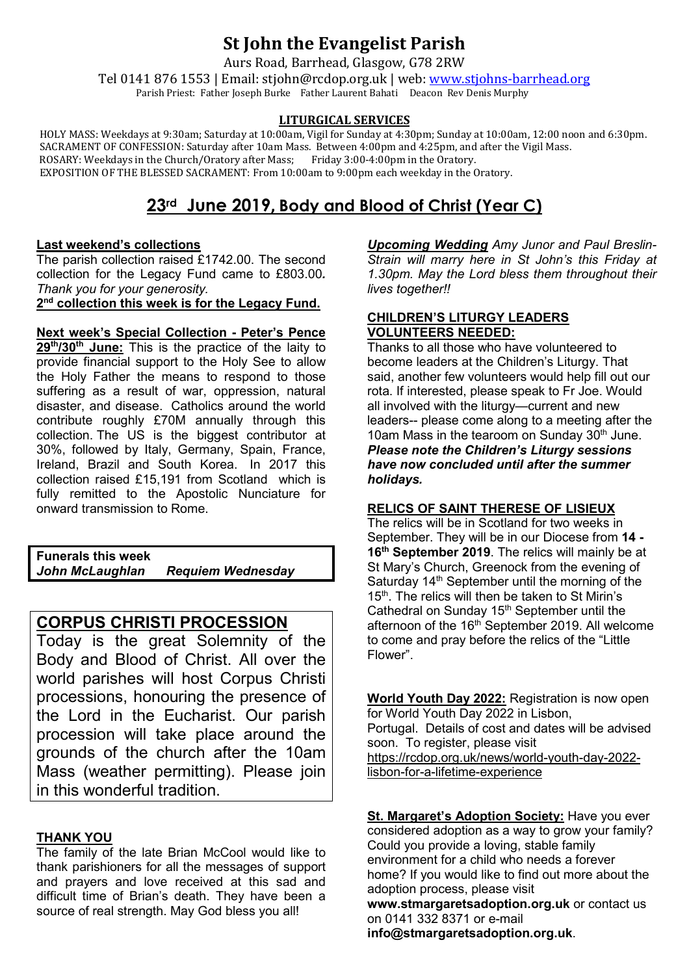# **St John the Evangelist Parish**

Aurs Road, Barrhead, Glasgow, G78 2RW

Tel 0141 876 1553 | Email: stjohn@rcdop.org.uk | web: [www.stjohns-barrhead.org](http://www.stjohns-barrhead.org/) Parish Priest: Father Joseph Burke Father Laurent Bahati Deacon Rev Denis Murphy

#### **LITURGICAL SERVICES**

 HOLY MASS: Weekdays at 9:30am; Saturday at 10:00am, Vigil for Sunday at 4:30pm; Sunday at 10:00am, 12:00 noon and 6:30pm. SACRAMENT OF CONFESSION: Saturday after 10am Mass. Between 4:00pm and 4:25pm, and after the Vigil Mass. ROSARY: Weekdays in the Church/Oratory after Mass; Friday 3:00-4:00pm in the Oratory. EXPOSITION OF THE BLESSED SACRAMENT: From 10:00am to 9:00pm each weekday in the Oratory.

## **23rd June 2019, Body and Blood of Christ (Year C)**

#### **Last weekend's collections**

The parish collection raised £1742.00. The second collection for the Legacy Fund came to £803.00*. Thank you for your generosity.*  **2nd collection this week is for the Legacy Fund.** 

**Next week's Special Collection - Peter's Pence 29th/30th June:** This is the practice of the laity to provide financial support to the Holy See to allow the Holy Father the means to respond to those suffering as a result of war, oppression, natural disaster, and disease. Catholics around the world contribute roughly £70M annually through this collection. The US is the biggest contributor at 30%, followed by Italy, Germany, Spain, France, Ireland, Brazil and South Korea. In 2017 this collection raised £15,191 from Scotland which is fully remitted to the Apostolic Nunciature for onward transmission to Rome.

**Funerals this week Requiem Wednesday** 

## **CORPUS CHRISTI PROCESSION**

Today is the great Solemnity of the Body and Blood of Christ. All over the world parishes will host Corpus Christi processions, honouring the presence of the Lord in the Eucharist. Our parish procession will take place around the grounds of the church after the 10am Mass (weather permitting). Please join in this wonderful tradition.

## **THANK YOU**

The family of the late Brian McCool would like to thank parishioners for all the messages of support and prayers and love received at this sad and difficult time of Brian's death. They have been a source of real strength. May God bless you all!

*Upcoming Wedding Amy Junor and Paul Breslin-Strain will marry here in St John's this Friday at 1.30pm. May the Lord bless them throughout their lives together!!*

#### **CHILDREN'S LITURGY LEADERS VOLUNTEERS NEEDED:**

Thanks to all those who have volunteered to become leaders at the Children's Liturgy. That said, another few volunteers would help fill out our rota. If interested, please speak to Fr Joe. Would all involved with the liturgy—current and new leaders-- please come along to a meeting after the 10am Mass in the tearoom on Sunday  $30<sup>th</sup>$  June. *Please note the Children's Liturgy sessions have now concluded until after the summer holidays.*

#### **RELICS OF SAINT THERESE OF LISIEUX**

The relics will be in Scotland for two weeks in September. They will be in our Diocese from **14 - 16th September 2019**. The relics will mainly be at St Mary's Church, Greenock from the evening of Saturday  $14<sup>th</sup>$  September until the morning of the 15<sup>th</sup>. The relics will then be taken to St Mirin's Cathedral on Sunday 15<sup>th</sup> September until the afternoon of the 16<sup>th</sup> September 2019. All welcome to come and pray before the relics of the "Little Flower".

**World Youth Day 2022:** Registration is now open for World Youth Day 2022 in Lisbon, Portugal. Details of cost and dates will be advised soon. To register, please visit [https://rcdop.org.uk/news/world-youth-day-2022](https://rcdop.org.uk/news/world-youth-day-2022-lisbon-for-a-lifetime-experience) [lisbon-for-a-lifetime-experience](https://rcdop.org.uk/news/world-youth-day-2022-lisbon-for-a-lifetime-experience)

**St. Margaret's Adoption Society:** Have you ever considered adoption as a way to grow your family? Could you provide a loving, stable family environment for a child who needs a forever home? If you would like to find out more about the adoption process, please visit **[www.stmargaretsadoption.org.uk](http://www.stmargaretsadoption.org.uk/)** or contact us on 0141 332 8371 or e-mail **[info@stmargaretsadoption.org.uk](mailto:INFO@STMARGARETSADOPTION.ORG.UK)**.